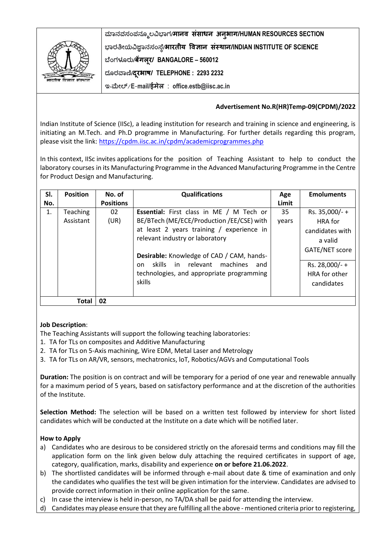

**ಮಾನವಸಂಪನಮೂಲವಿಭಾಗ/मानव संसाधन अनुभाग/HUMAN RESOURCES SECTION ಭಾರತೀಯವಿಜ್ಞಾನಸಂಸ್ಥೆ/भारतीय ववज्ञान संस्थान/INDIAN INSTITUTE OF SCIENCE ಬಥಂಗಳೂರು/बेंगलूर/ BANGALORE – 560012 ದಮರವಾಣಿ/दरूभाष/ TELEPHONE : 2293 2232 ಇ-ಮೀಲ್**/**E**-**mail/ईमेल** : **office.estb@iisc.ac.in**

## **Advertisement No.R(HR)Temp-09(CPDM)/2022**

Indian Institute of Science (IISc), a leading institution for research and training in science and engineering, is initiating an M.Tech. and Ph.D programme in Manufacturing. For further details regarding this program, please visit the link: <https://cpdm.iisc.ac.in/cpdm/academicprogrammes.php>

In this context, IISc invites applications for the position of Teaching Assistant to help to conduct the laboratory courses in its Manufacturing Programme in the Advanced Manufacturing Programme in the Centre for Product Design and Manufacturing.

| SI.            | <b>Position</b>       | No. of           | <b>Qualifications</b>                                                                                                                                                                                                     | Age         | <b>Emoluments</b>                                                               |
|----------------|-----------------------|------------------|---------------------------------------------------------------------------------------------------------------------------------------------------------------------------------------------------------------------------|-------------|---------------------------------------------------------------------------------|
| No.            |                       | <b>Positions</b> |                                                                                                                                                                                                                           | Limit       |                                                                                 |
| $\mathbf{1}$ . | Teaching<br>Assistant | 02<br>(UR)       | <b>Essential:</b> First class in ME / M Tech or<br>BE/BTech (ME/ECE/Production /EE/CSE) with<br>at least 2 years training / experience in<br>relevant industry or laboratory<br>Desirable: Knowledge of CAD / CAM, hands- | 35<br>years | Rs. 35,000/-+<br><b>HRA</b> for<br>candidates with<br>a valid<br>GATE/NET score |
|                |                       |                  | skills in relevant machines<br>and<br>nn.<br>technologies, and appropriate programming<br>skills                                                                                                                          |             | Rs. 28,000/-+<br>HRA for other<br>candidates                                    |
| 02<br>Total    |                       |                  |                                                                                                                                                                                                                           |             |                                                                                 |

## **Job Description**:

The Teaching Assistants will support the following teaching laboratories:

- 1. TA for TLs on composites and Additive Manufacturing
- 2. TA for TLs on 5-Axis machining, Wire EDM, Metal Laser and Metrology
- 3. TA for TLs on AR/VR, sensors, mechatronics, loT, Robotics/AGVs and Computational Tools

**Duration:** The position is on contract and will be temporary for a period of one year and renewable annually for a maximum period of 5 years, based on satisfactory performance and at the discretion of the authorities of the Institute.

**Selection Method:** The selection will be based on a written test followed by interview for short listed candidates which will be conducted at the Institute on a date which will be notified later.

## **How to Apply**

- a) Candidates who are desirous to be considered strictly on the aforesaid terms and conditions may fill the application form on the link given below duly attaching the required certificates in support of age, category, qualification, marks, disability and experience **on or before 21.06.2022**.
- b) The shortlisted candidates will be informed through e-mail about date & time of examination and only the candidates who qualifies the test will be given intimation for the interview. Candidates are advised to provide correct information in their online application for the same.
- c) In case the interview is held in-person, no TA/DA shall be paid for attending the interview.
- d) Candidates may please ensure that they are fulfilling all the above mentioned criteria prior to registering,